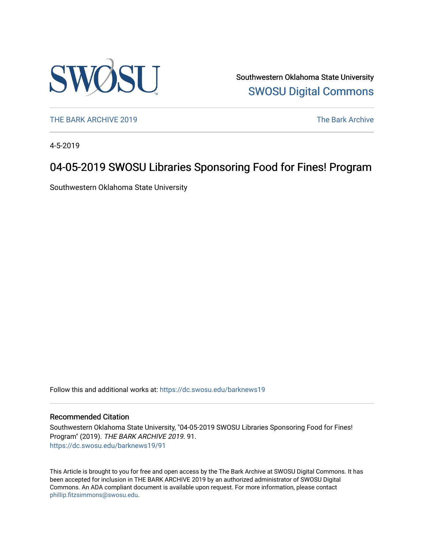

Southwestern Oklahoma State University [SWOSU Digital Commons](https://dc.swosu.edu/) 

[THE BARK ARCHIVE 2019](https://dc.swosu.edu/barknews19) The Bark Archive

4-5-2019

## 04-05-2019 SWOSU Libraries Sponsoring Food for Fines! Program

Southwestern Oklahoma State University

Follow this and additional works at: [https://dc.swosu.edu/barknews19](https://dc.swosu.edu/barknews19?utm_source=dc.swosu.edu%2Fbarknews19%2F91&utm_medium=PDF&utm_campaign=PDFCoverPages)

#### Recommended Citation

Southwestern Oklahoma State University, "04-05-2019 SWOSU Libraries Sponsoring Food for Fines! Program" (2019). THE BARK ARCHIVE 2019. 91. [https://dc.swosu.edu/barknews19/91](https://dc.swosu.edu/barknews19/91?utm_source=dc.swosu.edu%2Fbarknews19%2F91&utm_medium=PDF&utm_campaign=PDFCoverPages) 

This Article is brought to you for free and open access by the The Bark Archive at SWOSU Digital Commons. It has been accepted for inclusion in THE BARK ARCHIVE 2019 by an authorized administrator of SWOSU Digital Commons. An ADA compliant document is available upon request. For more information, please contact [phillip.fitzsimmons@swosu.edu](mailto:phillip.fitzsimmons@swosu.edu).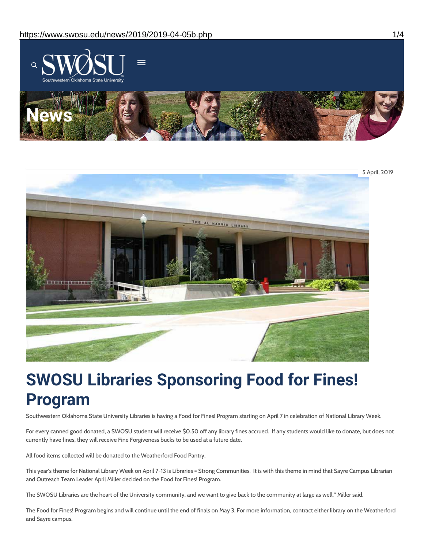



# **SWOSU Libraries Sponsoring Food for Fines! Program**

Southwestern Oklahoma State University Libraries is having a Food for Fines! Program starting on April 7 in celebration of National Library Week.

For every canned good donated, a SWOSU student will receive \$0.50 off any library fines accrued. If any students would like to donate, but does not currently have fines, they will receive Fine Forgiveness bucks to be used at a future date.

All food items collected will be donated to the Weatherford Food Pantry.

This year's theme for National Library Week on April 7-13 is Libraries = Strong Communities. It is with this theme in mind that Sayre Campus Librarian and Outreach Team Leader April Miller decided on the Food for Fines! Program.

The SWOSU Libraries are the heart of the University community, and we want to give back to the community at large as well," Miller said.

The Food for Fines! Program begins and will continue until the end of finals on May 3. For more information, contract either library on the Weatherford and Sayre campus.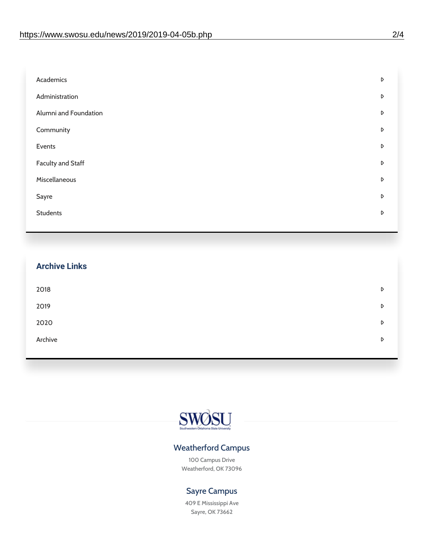| Academics                | D |
|--------------------------|---|
| Administration           | D |
| Alumni and Foundation    | D |
| Community                | D |
| Events                   | D |
| <b>Faculty and Staff</b> | D |
| Miscellaneous            | D |
| Sayre                    | D |
| <b>Students</b>          | D |
|                          |   |

| <b>Archive Links</b> |  |   |
|----------------------|--|---|
| 2018                 |  | D |
| 2019                 |  | D |
| 2020                 |  | D |
| Archive              |  | D |
|                      |  |   |



### Weatherford Campus

100 Campus Drive Weatherford, OK 73096

### Sayre Campus

409 E Mississippi Ave Sayre, OK 73662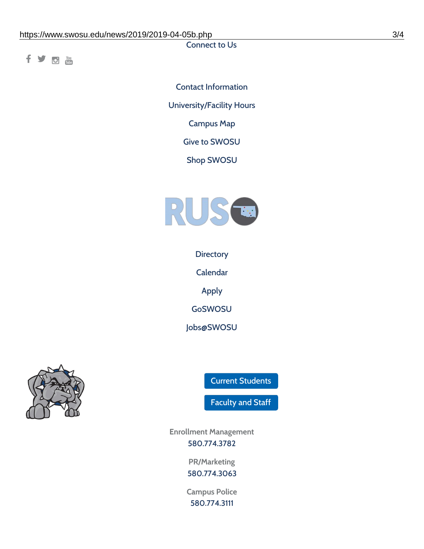Connect to Us

fyom

Contact [Information](https://www.swosu.edu/about/contact.php) [University/Facility](https://www.swosu.edu/about/operating-hours.php) Hours [Campus](https://map.concept3d.com/?id=768#!ct/10964,10214,10213,10212,10205,10204,10203,10202,10136,10129,10128,0,31226,10130,10201,10641,0) Map Give to [SWOSU](https://standingfirmly.com/donate) Shop [SWOSU](https://shopswosu.merchorders.com/)



**[Directory](https://www.swosu.edu/directory/index.php)** 

[Calendar](https://eventpublisher.dudesolutions.com/swosu/)

[Apply](https://www.swosu.edu/admissions/apply-to-swosu.php)

[GoSWOSU](https://qlsso.quicklaunchsso.com/home/1267)

[Jobs@SWOSU](https://swosu.csod.com/ux/ats/careersite/1/home?c=swosu)



Current [Students](https://bulldog.swosu.edu/index.php)

[Faculty](https://bulldog.swosu.edu/faculty-staff/index.php) and Staff

**Enrollment Management** [580.774.3782](tel:5807743782)

> **PR/Marketing** [580.774.3063](tel:5807743063)

**Campus Police** [580.774.3111](tel:5807743111)